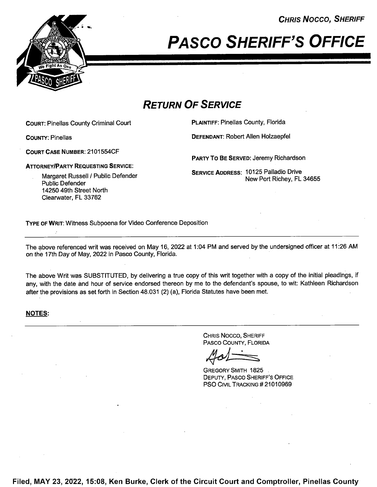CHRIS Nocco, SHERIFF



# PAsco SHERIFF'S OFFICE

## RETURN OF SERVICE

COURT: Pinellas County Criminal Court **PLAINTIFF: Pinellas County, Florida** 

COURT CASE NUMBER: 2101554CF

COUNTY: Pinellas DEFENDANT: Robert Allen Holzaepfel

PARTY To BE SERVED: Jeremy Richardson

ATTORNEYIPARTY REQUESTING SERVICE:

Public Defender 14250 49th Street North Clearwater, FL 33762

Margaret Russell / Public Defender **SERVICE ADDRESS: 10125 Palladio Drive**<br>New Port Richey, FL 34655

TYPE 0F WRIT: Witness Subpoena for Video Conference Deposition

The above referenced writ was received on May 16, <sup>2022</sup> at 1:04 PM and served by the undersigned officer at 11:26 AM on the 17th Day of May, 2022 in Pasco County, Florida.

The above Writ was SUBSTITUTED, by delivering a true copy of this writ together with a copy of the initial pleadings, if any, with the date and hour of service endorsed thereon by me to the defendant's spouse, to wit: Kathleen Richardson after the provisions as set forth in Section 48.031 (2) (a), Florida Statutes have been met.

#### NOTES:

CHRIS Nocco, SHERIFF PAsco COUNTY, FLORIDA

GREGORY SMITH 1825 DEPUTY, PAsco SHERIFF'S OFFICE PSO CIVIL TRACKING #21010969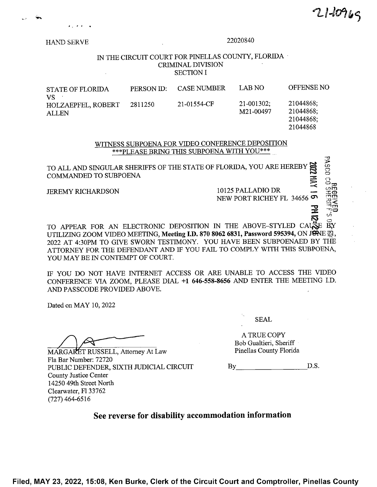**PASCO CO** 

**HAND SERVE** 

#### 22020840

#### IN THE CIRCUIT COURT FOR PINELLAS COUNTY, FLORIDA **CRIMINAL DIVISION SECTION I**

| <b>STATE OF FLORIDA</b><br>VS.            | PERSON ID: | <b>CASE NUMBER</b> | LAB NO                       | <b>OFFENSE NO</b>      |
|-------------------------------------------|------------|--------------------|------------------------------|------------------------|
| <b>HOLZAEPFEL, ROBERT</b><br><b>ALLEN</b> | 2811250    | 21-01554-CF        | $21 - 001302$ ;<br>M21-00497 | 21044868;<br>21044868; |
|                                           |            |                    |                              | 21044868:              |
|                                           |            |                    |                              | 21044868               |

WITNESS SUBPOENA FOR VIDEO CONFERENCE DEPOSITION \*\*\* PLEASE BRING THIS SUBPOENA WITH YOU \*\*\*

TO ALL AND SINGULAR SHERIFFS OF THE STATE OF FLORIDA, YOU ARE HEREBY COMMANDED TO SUBPOENA

**JEREMY RICHARDSON** 

10125 PALLADIO DR NEW PORT RICHEY FL 34656

TO APPEAR FOR AN ELECTRONIC DEPOSITION IN THE ABOVE-STYLED CAUSE BY UTILIZING ZOOM VIDEO MEETING, Meeting I.D. 870 8062 6831, Password 595394, ON JONE 21, 2022 AT 4:30PM TO GIVE SWORN TESTIMONY. YOU HAVE BEEN SUBPOENAED BY THE ATTORNEY FOR THE DEFENDANT AND IF YOU FAIL TO COMPLY WITH THIS SUBPOENA. YOU MAY BE IN CONTEMPT OF COURT.

IF YOU DO NOT HAVE INTERNET ACCESS OR ARE UNABLE TO ACCESS THE VIDEO CONFERENCE VIA ZOOM, PLEASE DIAL +1 646-558-8656 AND ENTER THE MEETING I.D. AND PASSCODE PROVIDED ABOVE.

Dated on MAY 10, 2022

MARGARET RUSSELL, Attorney At Law Fla Bar Number: 72720 PUBLIC DEFENDER, SIXTH JUDICIAL CIRCUIT County Justice Center 14250 49th Street North Clearwater, Fl 33762  $(727)$  464-6516

**SEAL** 

A TRUE COPY Bob Gualtieri, Sheriff Pinellas County Florida

D.S.  $\mathbf{B}\mathbf{v}$ 

### See reverse for disability accommodation information

Filed, MAY 23, 2022, 15:08, Ken Burke, Clerk of the Circuit Court and Comptroller, Pinellas County